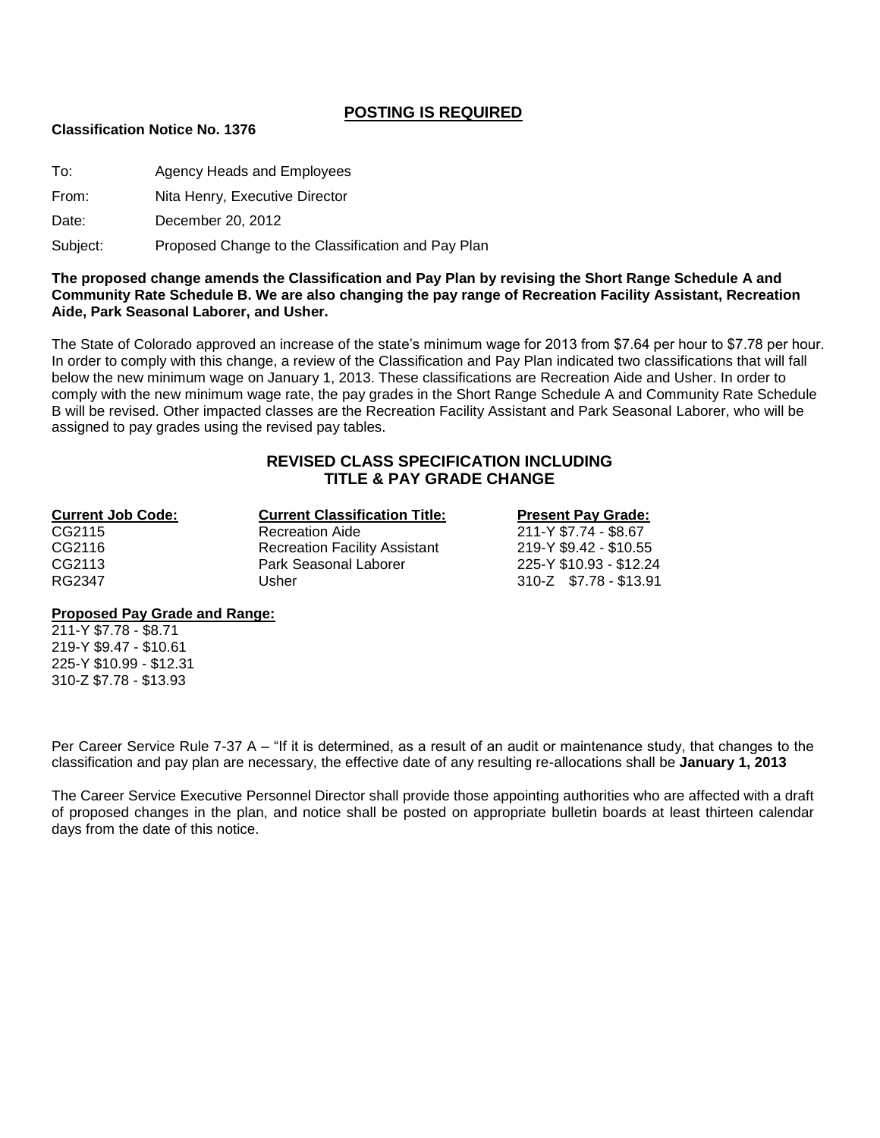# **POSTING IS REQUIRED**

#### **Classification Notice No. 1376**

To: Agency Heads and Employees

From: Nita Henry, Executive Director

Date: December 20, 2012

Subject: Proposed Change to the Classification and Pay Plan

**The proposed change amends the Classification and Pay Plan by revising the Short Range Schedule A and Community Rate Schedule B. We are also changing the pay range of Recreation Facility Assistant, Recreation Aide, Park Seasonal Laborer, and Usher.**

The State of Colorado approved an increase of the state's minimum wage for 2013 from \$7.64 per hour to \$7.78 per hour. In order to comply with this change, a review of the Classification and Pay Plan indicated two classifications that will fall below the new minimum wage on January 1, 2013. These classifications are Recreation Aide and Usher. In order to comply with the new minimum wage rate, the pay grades in the Short Range Schedule A and Community Rate Schedule B will be revised. Other impacted classes are the Recreation Facility Assistant and Park Seasonal Laborer, who will be assigned to pay grades using the revised pay tables.

# **REVISED CLASS SPECIFICATION INCLUDING TITLE & PAY GRADE CHANGE**

| <b>Current Job Code:</b> | <b>Current Classification Title:</b> | <b>Present Pay Grade:</b> |
|--------------------------|--------------------------------------|---------------------------|
| CG2115                   | <b>Recreation Aide</b>               | 211-Y \$7.74 - \$8.67     |
| CG2116                   | <b>Recreation Facility Assistant</b> | 219-Y \$9.42 - \$10.55    |
| CG2113                   | Park Seasonal Laborer                | 225-Y \$10.93 - \$12.24   |
| RG2347                   | Usher                                | $310-Z$ $$7.78 - $13.91$  |

#### **Proposed Pay Grade and Range:**

211-Y \$7.78 - \$8.71 219-Y \$9.47 - \$10.61 225-Y \$10.99 - \$12.31 310-Z \$7.78 - \$13.93

Per Career Service Rule 7-37 A – "If it is determined, as a result of an audit or maintenance study, that changes to the classification and pay plan are necessary, the effective date of any resulting re-allocations shall be **January 1, 2013**

The Career Service Executive Personnel Director shall provide those appointing authorities who are affected with a draft of proposed changes in the plan, and notice shall be posted on appropriate bulletin boards at least thirteen calendar days from the date of this notice.